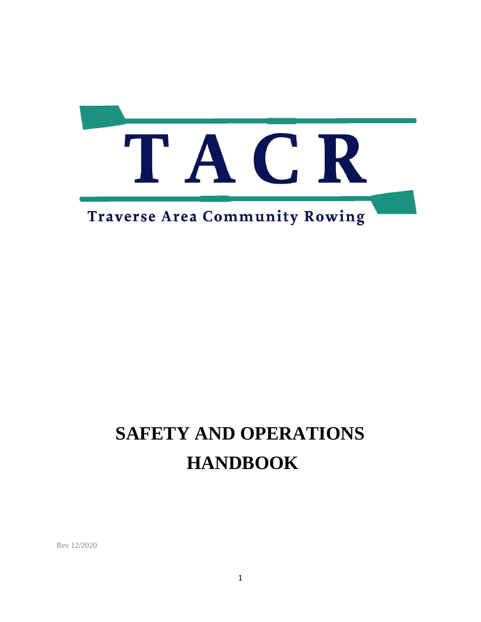

# **SAFETY AND OPERATIONS HANDBOOK**

Rev 12/2020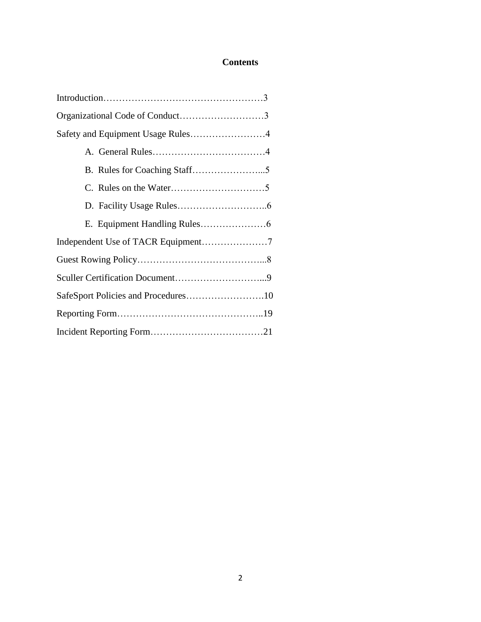## **Contents**

| Safety and Equipment Usage Rules4   |  |
|-------------------------------------|--|
|                                     |  |
|                                     |  |
|                                     |  |
|                                     |  |
|                                     |  |
|                                     |  |
|                                     |  |
|                                     |  |
| SafeSport Policies and Procedures10 |  |
|                                     |  |
|                                     |  |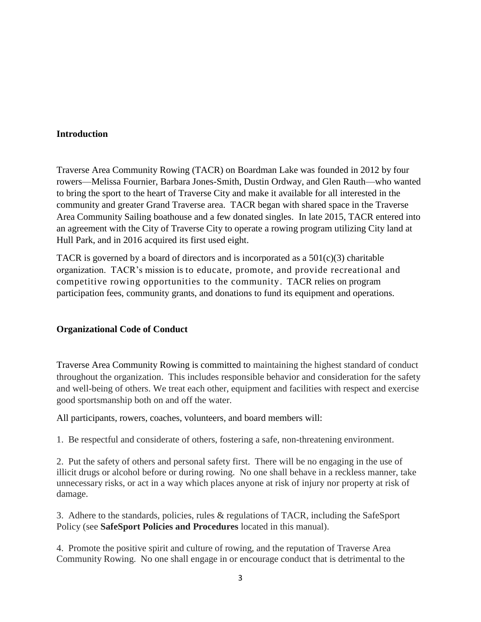## **Introduction**

Traverse Area Community Rowing (TACR) on Boardman Lake was founded in 2012 by four rowers—Melissa Fournier, Barbara Jones-Smith, Dustin Ordway, and Glen Rauth—who wanted to bring the sport to the heart of Traverse City and make it available for all interested in the community and greater Grand Traverse area. TACR began with shared space in the Traverse Area Community Sailing boathouse and a few donated singles. In late 2015, TACR entered into an agreement with the City of Traverse City to operate a rowing program utilizing City land at Hull Park, and in 2016 acquired its first used eight.

TACR is governed by a board of directors and is incorporated as a  $501(c)(3)$  charitable organization. TACR's mission is to educate, promote, and provide recreational and competitive rowing opportunities to the community. TACR relies on program participation fees, community grants, and donations to fund its equipment and operations.

## **Organizational Code of Conduct**

Traverse Area Community Rowing is committed to maintaining the highest standard of conduct throughout the organization. This includes responsible behavior and consideration for the safety and well-being of others. We treat each other, equipment and facilities with respect and exercise good sportsmanship both on and off the water.

All participants, rowers, coaches, volunteers, and board members will:

1. Be respectful and considerate of others, fostering a safe, non-threatening environment.

2. Put the safety of others and personal safety first. There will be no engaging in the use of illicit drugs or alcohol before or during rowing. No one shall behave in a reckless manner, take unnecessary risks, or act in a way which places anyone at risk of injury nor property at risk of damage.

3. Adhere to the standards, policies, rules & regulations of TACR, including the SafeSport Policy (see **SafeSport Policies and Procedures** located in this manual).

4. Promote the positive spirit and culture of rowing, and the reputation of Traverse Area Community Rowing. No one shall engage in or encourage conduct that is detrimental to the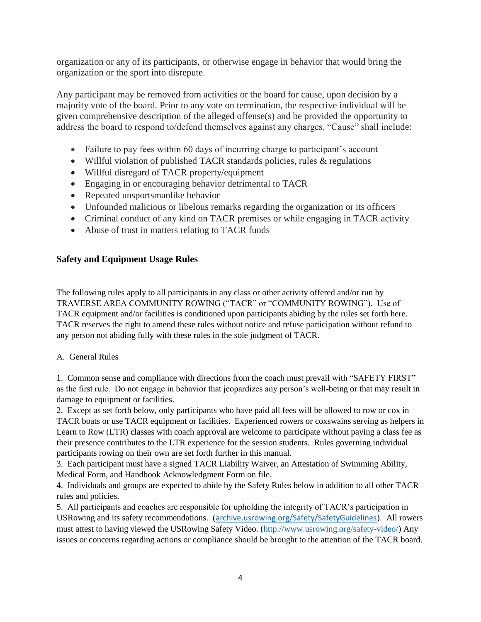organization or any of its participants, or otherwise engage in behavior that would bring the organization or the sport into disrepute.

Any participant may be removed from activities or the board for cause, upon decision by a majority vote of the board. Prior to any vote on termination, the respective individual will be given comprehensive description of the alleged offense(s) and be provided the opportunity to address the board to respond to/defend themselves against any charges. "Cause" shall include:

- Failure to pay fees within 60 days of incurring charge to participant's account
- Willful violation of published TACR standards policies, rules & regulations
- Willful disregard of TACR property/equipment
- Engaging in or encouraging behavior detrimental to TACR
- Repeated unsportsmanlike behavior
- Unfounded malicious or libelous remarks regarding the organization or its officers
- Criminal conduct of any kind on TACR premises or while engaging in TACR activity
- Abuse of trust in matters relating to TACR funds

## **Safety and Equipment Usage Rules**

The following rules apply to all participants in any class or other activity offered and/or run by TRAVERSE AREA COMMUNITY ROWING ("TACR" or "COMMUNITY ROWING"). Use of TACR equipment and/or facilities is conditioned upon participants abiding by the rules set forth here. TACR reserves the right to amend these rules without notice and refuse participation without refund to any person not abiding fully with these rules in the sole judgment of TACR.

## A. General Rules

1. Common sense and compliance with directions from the coach must prevail with "SAFETY FIRST" as the first rule. Do not engage in behavior that jeopardizes any person's well-being or that may result in damage to equipment or facilities.

2. Except as set forth below, only participants who have paid all fees will be allowed to row or cox in TACR boats or use TACR equipment or facilities. Experienced rowers or coxswains serving as helpers in Learn to Row (LTR) classes with coach approval are welcome to participate without paying a class fee as their presence contributes to the LTR experience for the session students. Rules governing individual participants rowing on their own are set forth further in this manual.

3. Each participant must have a signed TACR Liability Waiver, an Attestation of Swimming Ability, Medical Form, and Handbook Acknowledgment Form on file.

4. Individuals and groups are expected to abide by the Safety Rules below in addition to all other TACR rules and policies.

5. All participants and coaches are responsible for upholding the integrity of TACR's participation in USRowing and its safety recommendations. (<archive.usrowing.org/Safety/SafetyGuidelines>). All rowers must attest to having viewed the USRowing Safety Video. [\(http://www.usrowing.org/safety-video/\)](http://www.usrowing.org/safety-video/) Any issues or concerns regarding actions or compliance should be brought to the attention of the TACR board.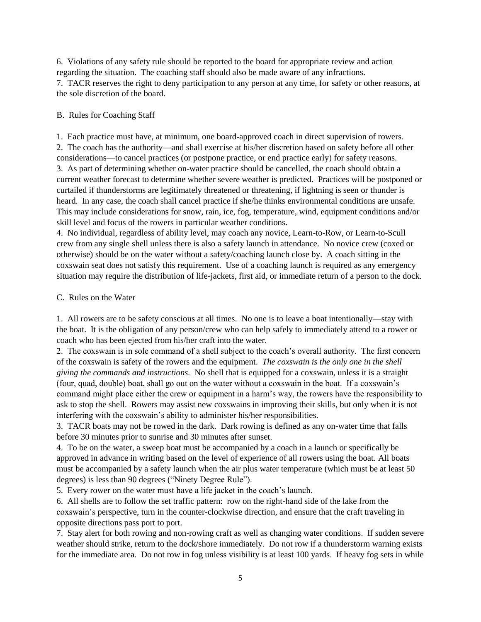6. Violations of any safety rule should be reported to the board for appropriate review and action regarding the situation. The coaching staff should also be made aware of any infractions. 7. TACR reserves the right to deny participation to any person at any time, for safety or other reasons, at the sole discretion of the board.

#### B. Rules for Coaching Staff

1. Each practice must have, at minimum, one board-approved coach in direct supervision of rowers. 2. The coach has the authority—and shall exercise at his/her discretion based on safety before all other considerations—to cancel practices (or postpone practice, or end practice early) for safety reasons. 3. As part of determining whether on-water practice should be cancelled, the coach should obtain a current weather forecast to determine whether severe weather is predicted. Practices will be postponed or curtailed if thunderstorms are legitimately threatened or threatening, if lightning is seen or thunder is heard. In any case, the coach shall cancel practice if she/he thinks environmental conditions are unsafe. This may include considerations for snow, rain, ice, fog, temperature, wind, equipment conditions and/or skill level and focus of the rowers in particular weather conditions.

4. No individual, regardless of ability level, may coach any novice, Learn-to-Row, or Learn-to-Scull crew from any single shell unless there is also a safety launch in attendance. No novice crew (coxed or otherwise) should be on the water without a safety/coaching launch close by. A coach sitting in the coxswain seat does not satisfy this requirement. Use of a coaching launch is required as any emergency situation may require the distribution of life-jackets, first aid, or immediate return of a person to the dock.

#### C. Rules on the Water

1. All rowers are to be safety conscious at all times. No one is to leave a boat intentionally—stay with the boat. It is the obligation of any person/crew who can help safely to immediately attend to a rower or coach who has been ejected from his/her craft into the water.

2. The coxswain is in sole command of a shell subject to the coach's overall authority. The first concern of the coxswain is safety of the rowers and the equipment. *The coxswain is the only one in the shell giving the commands and instructions.* No shell that is equipped for a coxswain, unless it is a straight (four, quad, double) boat, shall go out on the water without a coxswain in the boat. If a coxswain's command might place either the crew or equipment in a harm's way, the rowers have the responsibility to ask to stop the shell. Rowers may assist new coxswains in improving their skills, but only when it is not interfering with the coxswain's ability to administer his/her responsibilities.

3. TACR boats may not be rowed in the dark. Dark rowing is defined as any on-water time that falls before 30 minutes prior to sunrise and 30 minutes after sunset.

4. To be on the water, a sweep boat must be accompanied by a coach in a launch or specifically be approved in advance in writing based on the level of experience of all rowers using the boat. All boats must be accompanied by a safety launch when the air plus water temperature (which must be at least 50 degrees) is less than 90 degrees ("Ninety Degree Rule").

5. Every rower on the water must have a life jacket in the coach's launch.

6. All shells are to follow the set traffic pattern: row on the right-hand side of the lake from the coxswain's perspective, turn in the counter-clockwise direction, and ensure that the craft traveling in opposite directions pass port to port.

7. Stay alert for both rowing and non-rowing craft as well as changing water conditions. If sudden severe weather should strike, return to the dock/shore immediately. Do not row if a thunderstorm warning exists for the immediate area. Do not row in fog unless visibility is at least 100 yards. If heavy fog sets in while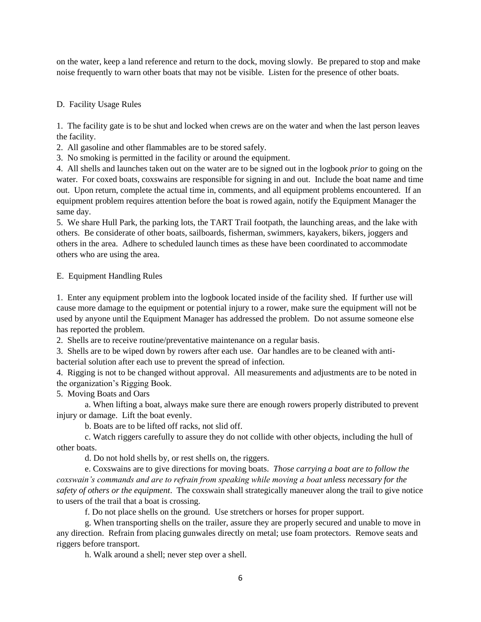on the water, keep a land reference and return to the dock, moving slowly. Be prepared to stop and make noise frequently to warn other boats that may not be visible. Listen for the presence of other boats.

## D. Facility Usage Rules

1. The facility gate is to be shut and locked when crews are on the water and when the last person leaves the facility.

2. All gasoline and other flammables are to be stored safely.

3. No smoking is permitted in the facility or around the equipment.

4. All shells and launches taken out on the water are to be signed out in the logbook *prior* to going on the water. For coxed boats, coxswains are responsible for signing in and out. Include the boat name and time out. Upon return, complete the actual time in, comments, and all equipment problems encountered. If an equipment problem requires attention before the boat is rowed again, notify the Equipment Manager the same day.

5. We share Hull Park, the parking lots, the TART Trail footpath, the launching areas, and the lake with others. Be considerate of other boats, sailboards, fisherman, swimmers, kayakers, bikers, joggers and others in the area. Adhere to scheduled launch times as these have been coordinated to accommodate others who are using the area.

#### E. Equipment Handling Rules

1. Enter any equipment problem into the logbook located inside of the facility shed. If further use will cause more damage to the equipment or potential injury to a rower, make sure the equipment will not be used by anyone until the Equipment Manager has addressed the problem. Do not assume someone else has reported the problem.

2. Shells are to receive routine/preventative maintenance on a regular basis.

3. Shells are to be wiped down by rowers after each use. Oar handles are to be cleaned with anti-

bacterial solution after each use to prevent the spread of infection.

4. Rigging is not to be changed without approval. All measurements and adjustments are to be noted in the organization's Rigging Book.

5. Moving Boats and Oars

a. When lifting a boat, always make sure there are enough rowers properly distributed to prevent injury or damage. Lift the boat evenly.

b. Boats are to be lifted off racks, not slid off.

c. Watch riggers carefully to assure they do not collide with other objects, including the hull of other boats.

d. Do not hold shells by, or rest shells on, the riggers.

e. Coxswains are to give directions for moving boats. *Those carrying a boat are to follow the coxswain's commands and are to refrain from speaking while moving a boat unless necessary for the safety of others or the equipment*. The coxswain shall strategically maneuver along the trail to give notice to users of the trail that a boat is crossing.

f. Do not place shells on the ground. Use stretchers or horses for proper support.

g. When transporting shells on the trailer, assure they are properly secured and unable to move in any direction. Refrain from placing gunwales directly on metal; use foam protectors. Remove seats and riggers before transport.

h. Walk around a shell; never step over a shell.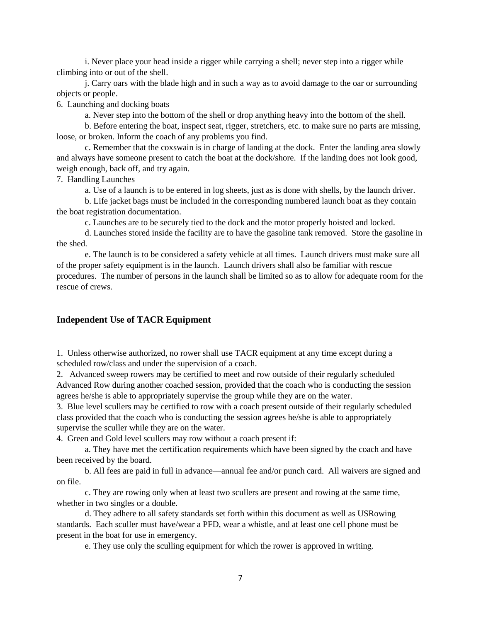i. Never place your head inside a rigger while carrying a shell; never step into a rigger while climbing into or out of the shell.

j. Carry oars with the blade high and in such a way as to avoid damage to the oar or surrounding objects or people.

6. Launching and docking boats

a. Never step into the bottom of the shell or drop anything heavy into the bottom of the shell.

b. Before entering the boat, inspect seat, rigger, stretchers, etc. to make sure no parts are missing, loose, or broken. Inform the coach of any problems you find.

c. Remember that the coxswain is in charge of landing at the dock. Enter the landing area slowly and always have someone present to catch the boat at the dock/shore. If the landing does not look good, weigh enough, back off, and try again.

7. Handling Launches

a. Use of a launch is to be entered in log sheets, just as is done with shells, by the launch driver.

b. Life jacket bags must be included in the corresponding numbered launch boat as they contain the boat registration documentation.

c. Launches are to be securely tied to the dock and the motor properly hoisted and locked.

d. Launches stored inside the facility are to have the gasoline tank removed. Store the gasoline in the shed.

e. The launch is to be considered a safety vehicle at all times. Launch drivers must make sure all of the proper safety equipment is in the launch. Launch drivers shall also be familiar with rescue procedures. The number of persons in the launch shall be limited so as to allow for adequate room for the rescue of crews.

#### **Independent Use of TACR Equipment**

1. Unless otherwise authorized, no rower shall use TACR equipment at any time except during a scheduled row/class and under the supervision of a coach.

2. Advanced sweep rowers may be certified to meet and row outside of their regularly scheduled Advanced Row during another coached session, provided that the coach who is conducting the session agrees he/she is able to appropriately supervise the group while they are on the water.

3. Blue level scullers may be certified to row with a coach present outside of their regularly scheduled class provided that the coach who is conducting the session agrees he/she is able to appropriately supervise the sculler while they are on the water.

4. Green and Gold level scullers may row without a coach present if:

a. They have met the certification requirements which have been signed by the coach and have been received by the board.

b. All fees are paid in full in advance—annual fee and/or punch card. All waivers are signed and on file.

c. They are rowing only when at least two scullers are present and rowing at the same time, whether in two singles or a double.

d. They adhere to all safety standards set forth within this document as well as USRowing standards. Each sculler must have/wear a PFD, wear a whistle, and at least one cell phone must be present in the boat for use in emergency.

e. They use only the sculling equipment for which the rower is approved in writing.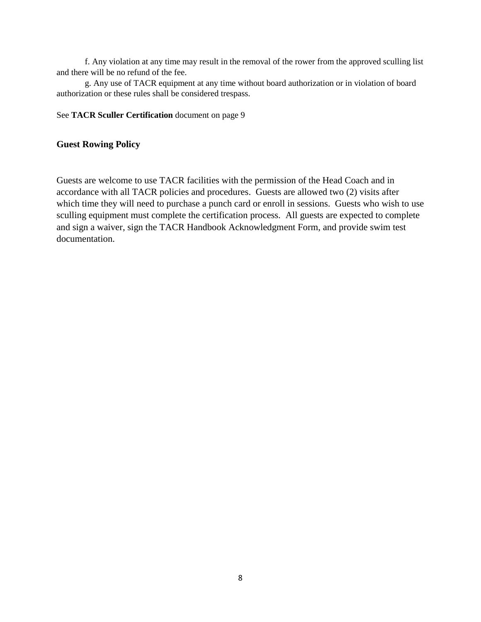f. Any violation at any time may result in the removal of the rower from the approved sculling list and there will be no refund of the fee.

g. Any use of TACR equipment at any time without board authorization or in violation of board authorization or these rules shall be considered trespass.

#### See **TACR Sculler Certification** document on page 9

## **Guest Rowing Policy**

Guests are welcome to use TACR facilities with the permission of the Head Coach and in accordance with all TACR policies and procedures. Guests are allowed two (2) visits after which time they will need to purchase a punch card or enroll in sessions. Guests who wish to use sculling equipment must complete the certification process. All guests are expected to complete and sign a waiver, sign the TACR Handbook Acknowledgment Form, and provide swim test documentation.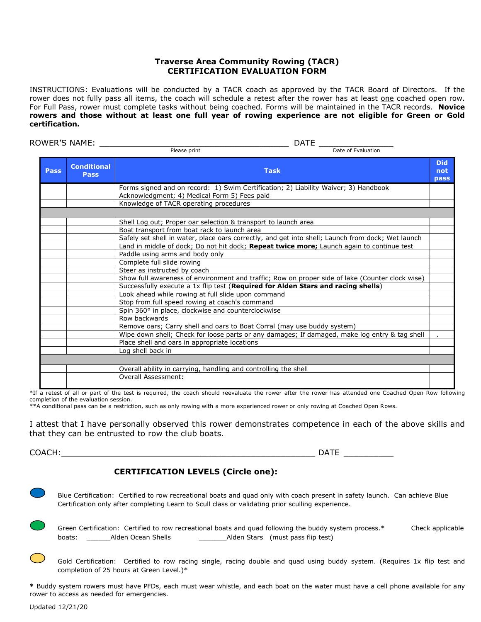#### **Traverse Area Community Rowing (TACR) CERTIFICATION EVALUATION FORM**

INSTRUCTIONS: Evaluations will be conducted by a TACR coach as approved by the TACR Board of Directors. If the rower does not fully pass all items, the coach will schedule a retest after the rower has at least one coached open row. For Full Pass, rower must complete tasks without being coached. Forms will be maintained in the TACR records. **Novice rowers and those without at least one full year of rowing experience are not eligible for Green or Gold certification.** 

ROWER'S NAME: \_\_\_\_\_\_\_\_\_\_\_\_\_\_\_\_\_\_\_\_\_\_\_\_\_\_\_\_\_\_\_\_\_\_\_\_\_\_ DATE \_\_\_\_\_\_\_\_\_\_\_\_\_\_\_  $P$ lease print **Pass Conditional Pass Task Did not pass** Forms signed and on record: 1) Swim Certification; 2) Liability Waiver; 3) Handbook Acknowledgment; 4) Medical Form 5) Fees paid Knowledge of TACR operating procedures Shell Log out; Proper oar selection & transport to launch area Boat transport from boat rack to launch area Safely set shell in water, place oars correctly, and get into shell; Launch from dock; Wet launch Land in middle of dock; Do not hit dock; **Repeat twice more;** Launch again to continue test Paddle using arms and body only Complete full slide rowing Steer as instructed by coach Show full awareness of environment and traffic; Row on proper side of lake (Counter clock wise) Successfully execute a 1x flip test (**Required for Alden Stars and racing shells**) Look ahead while rowing at full slide upon command Stop from full speed rowing at coach's command Spin 360° in place, clockwise and counterclockwise Row backwards Remove oars; Carry shell and oars to Boat Corral (may use buddy system) Wipe down shell; Check for loose parts or any damages; If damaged, make log entry & tag shell Place shell and oars in appropriate locations Log shell back in Overall ability in carrying, handling and controlling the shell Overall Assessment:

\*If a retest of all or part of the test is required, the coach should reevaluate the rower after the rower has attended one Coached Open Row following completion of the evaluation session.

\*\*A conditional pass can be a restriction, such as only rowing with a more experienced rower or only rowing at Coached Open Rows.

I attest that I have personally observed this rower demonstrates competence in each of the above skills and that they can be entrusted to row the club boats.

 $COACH:$ 

**CERTIFICATION LEVELS (Circle one):**

 Blue Certification: Certified to row recreational boats and quad only with coach present in safety launch. Can achieve Blue Certification only after completing Learn to Scull class or validating prior sculling experience.

 Green Certification: Certified to row recreational boats and quad following the buddy system process.\* Check applicable boats: Alden Ocean Shells **Alden Stars (must pass flip test)** 

Gold Certification: Certified to row racing single, racing double and quad using buddy system. (Requires 1x flip test and completion of 25 hours at Green Level.)\*

**\*** Buddy system rowers must have PFDs, each must wear whistle, and each boat on the water must have a cell phone available for any rower to access as needed for emergencies.

Updated 12/21/20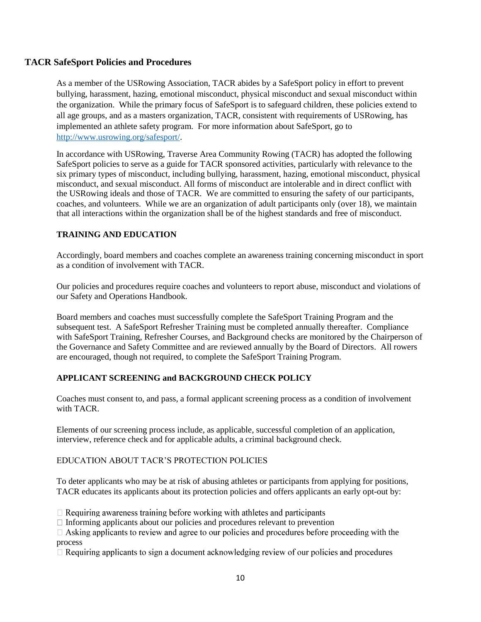## **TACR SafeSport Policies and Procedures**

As a member of the USRowing Association, TACR abides by a SafeSport policy in effort to prevent bullying, harassment, hazing, emotional misconduct, physical misconduct and sexual misconduct within the organization. While the primary focus of SafeSport is to safeguard children, these policies extend to all age groups, and as a masters organization, TACR, consistent with requirements of USRowing, has implemented an athlete safety program. For more information about SafeSport, go to [http://www.usrowing.org/safesport/.](http://www.usrowing.org/safesport/)

In accordance with USRowing, Traverse Area Community Rowing (TACR) has adopted the following SafeSport policies to serve as a guide for TACR sponsored activities, particularly with relevance to the six primary types of misconduct, including bullying, harassment, hazing, emotional misconduct, physical misconduct, and sexual misconduct. All forms of misconduct are intolerable and in direct conflict with the USRowing ideals and those of TACR. We are committed to ensuring the safety of our participants, coaches, and volunteers. While we are an organization of adult participants only (over 18), we maintain that all interactions within the organization shall be of the highest standards and free of misconduct.

## **TRAINING AND EDUCATION**

Accordingly, board members and coaches complete an awareness training concerning misconduct in sport as a condition of involvement with TACR.

Our policies and procedures require coaches and volunteers to report abuse, misconduct and violations of our Safety and Operations Handbook.

Board members and coaches must successfully complete the SafeSport Training Program and the subsequent test. A SafeSport Refresher Training must be completed annually thereafter. Compliance with SafeSport Training, Refresher Courses, and Background checks are monitored by the Chairperson of the Governance and Safety Committee and are reviewed annually by the Board of Directors. All rowers are encouraged, though not required, to complete the SafeSport Training Program.

## **APPLICANT SCREENING and BACKGROUND CHECK POLICY**

Coaches must consent to, and pass, a formal applicant screening process as a condition of involvement with TACR.

Elements of our screening process include, as applicable, successful completion of an application, interview, reference check and for applicable adults, a criminal background check.

## EDUCATION ABOUT TACR'S PROTECTION POLICIES

To deter applicants who may be at risk of abusing athletes or participants from applying for positions, TACR educates its applicants about its protection policies and offers applicants an early opt-out by:

 $\Box$  Requiring awareness training before working with athletes and participants

 $\Box$  Informing applicants about our policies and procedures relevant to prevention

 $\Box$  Asking applicants to review and agree to our policies and procedures before proceeding with the process

 $\Box$  Requiring applicants to sign a document acknowledging review of our policies and procedures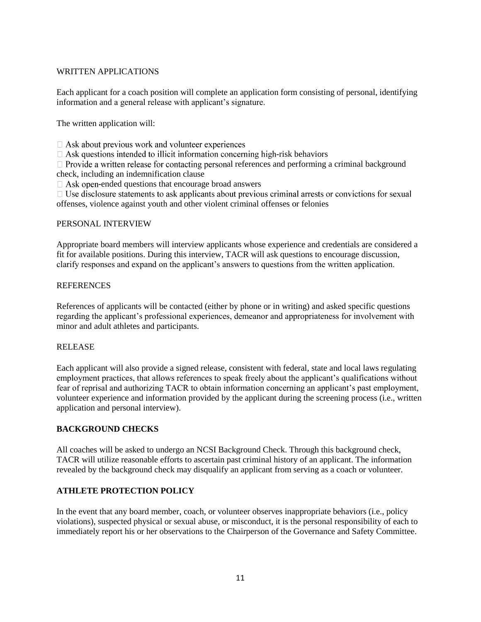## WRITTEN APPLICATIONS

Each applicant for a coach position will complete an application form consisting of personal, identifying information and a general release with applicant's signature.

The written application will:

 $\Box$  Ask about previous work and volunteer experiences

 $\Box$  Ask questions intended to illicit information concerning high-risk behaviors

 $\Box$  Provide a written release for contacting personal references and performing a criminal background check, including an indemnification clause

 $\Box$  Ask open-ended questions that encourage broad answers

 $\Box$  Use disclosure statements to ask applicants about previous criminal arrests or convictions for sexual offenses, violence against youth and other violent criminal offenses or felonies

#### PERSONAL INTERVIEW

Appropriate board members will interview applicants whose experience and credentials are considered a fit for available positions. During this interview, TACR will ask questions to encourage discussion, clarify responses and expand on the applicant's answers to questions from the written application.

#### **REFERENCES**

References of applicants will be contacted (either by phone or in writing) and asked specific questions regarding the applicant's professional experiences, demeanor and appropriateness for involvement with minor and adult athletes and participants.

#### RELEASE

Each applicant will also provide a signed release, consistent with federal, state and local laws regulating employment practices, that allows references to speak freely about the applicant's qualifications without fear of reprisal and authorizing TACR to obtain information concerning an applicant's past employment, volunteer experience and information provided by the applicant during the screening process (i.e., written application and personal interview).

#### **BACKGROUND CHECKS**

All coaches will be asked to undergo an NCSI Background Check. Through this background check, TACR will utilize reasonable efforts to ascertain past criminal history of an applicant. The information revealed by the background check may disqualify an applicant from serving as a coach or volunteer.

#### **ATHLETE PROTECTION POLICY**

In the event that any board member, coach, or volunteer observes inappropriate behaviors (i.e., policy violations), suspected physical or sexual abuse, or misconduct, it is the personal responsibility of each to immediately report his or her observations to the Chairperson of the Governance and Safety Committee.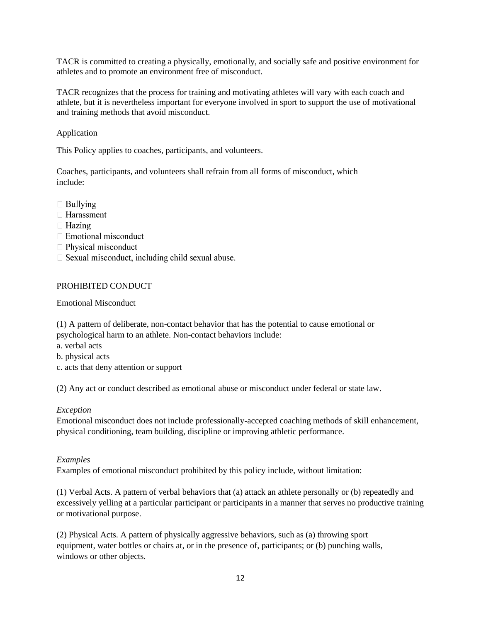TACR is committed to creating a physically, emotionally, and socially safe and positive environment for athletes and to promote an environment free of misconduct.

TACR recognizes that the process for training and motivating athletes will vary with each coach and athlete, but it is nevertheless important for everyone involved in sport to support the use of motivational and training methods that avoid misconduct.

#### Application

This Policy applies to coaches, participants, and volunteers.

Coaches, participants, and volunteers shall refrain from all forms of misconduct, which include:

- $\Box$  Bullying
- $\Box$  Harassment
- $\Box$  Hazing
- $\Box$  Emotional misconduct
- $\Box$  Physical misconduct
- $\Box$  Sexual misconduct, including child sexual abuse.

#### PROHIBITED CONDUCT

Emotional Misconduct

(1) A pattern of deliberate, non-contact behavior that has the potential to cause emotional or

psychological harm to an athlete. Non-contact behaviors include:

- a. verbal acts
- b. physical acts
- c. acts that deny attention or support

(2) Any act or conduct described as emotional abuse or misconduct under federal or state law.

#### *Exception*

Emotional misconduct does not include professionally-accepted coaching methods of skill enhancement, physical conditioning, team building, discipline or improving athletic performance.

#### *Examples*

Examples of emotional misconduct prohibited by this policy include, without limitation:

(1) Verbal Acts. A pattern of verbal behaviors that (a) attack an athlete personally or (b) repeatedly and excessively yelling at a particular participant or participants in a manner that serves no productive training or motivational purpose.

(2) Physical Acts. A pattern of physically aggressive behaviors, such as (a) throwing sport equipment, water bottles or chairs at, or in the presence of, participants; or (b) punching walls, windows or other objects.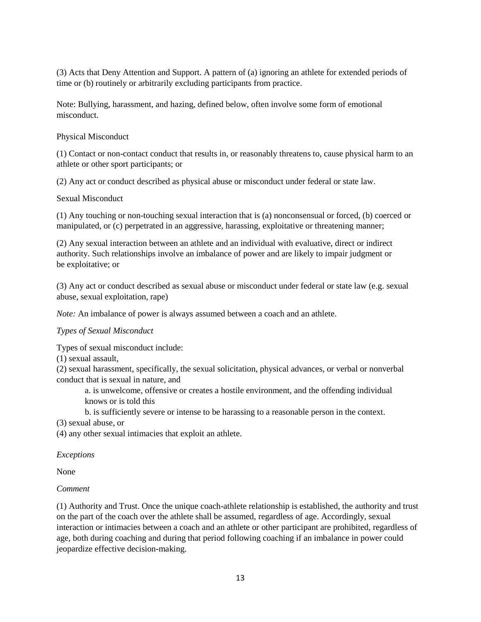(3) Acts that Deny Attention and Support. A pattern of (a) ignoring an athlete for extended periods of time or (b) routinely or arbitrarily excluding participants from practice.

Note: Bullying, harassment, and hazing, defined below, often involve some form of emotional misconduct.

#### Physical Misconduct

(1) Contact or non-contact conduct that results in, or reasonably threatens to, cause physical harm to an athlete or other sport participants; or

(2) Any act or conduct described as physical abuse or misconduct under federal or state law.

#### Sexual Misconduct

(1) Any touching or non-touching sexual interaction that is (a) nonconsensual or forced, (b) coerced or manipulated, or (c) perpetrated in an aggressive, harassing, exploitative or threatening manner;

(2) Any sexual interaction between an athlete and an individual with evaluative, direct or indirect authority. Such relationships involve an imbalance of power and are likely to impair judgment or be exploitative; or

(3) Any act or conduct described as sexual abuse or misconduct under federal or state law (e.g. sexual abuse, sexual exploitation, rape)

*Note:* An imbalance of power is always assumed between a coach and an athlete.

#### *Types of Sexual Misconduct*

Types of sexual misconduct include:

(1) sexual assault,

(2) sexual harassment, specifically, the sexual solicitation, physical advances, or verbal or nonverbal conduct that is sexual in nature, and

a. is unwelcome, offensive or creates a hostile environment, and the offending individual knows or is told this

b. is sufficiently severe or intense to be harassing to a reasonable person in the context.

(3) sexual abuse, or

(4) any other sexual intimacies that exploit an athlete.

#### *Exceptions*

None

#### *Comment*

(1) Authority and Trust. Once the unique coach-athlete relationship is established, the authority and trust on the part of the coach over the athlete shall be assumed, regardless of age. Accordingly, sexual interaction or intimacies between a coach and an athlete or other participant are prohibited, regardless of age, both during coaching and during that period following coaching if an imbalance in power could jeopardize effective decision-making.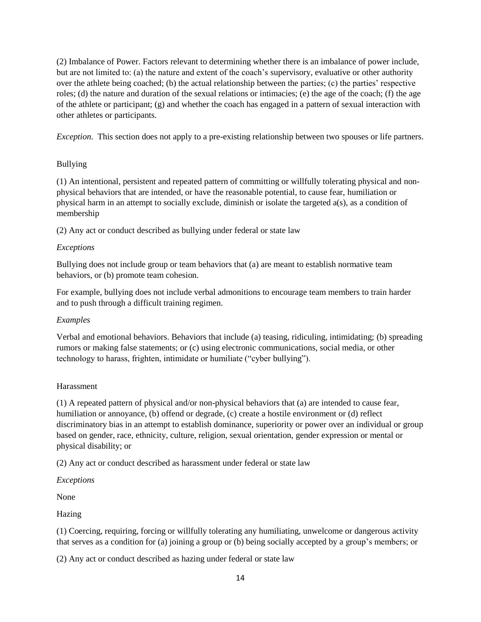(2) Imbalance of Power. Factors relevant to determining whether there is an imbalance of power include, but are not limited to: (a) the nature and extent of the coach's supervisory, evaluative or other authority over the athlete being coached; (b) the actual relationship between the parties; (c) the parties' respective roles; (d) the nature and duration of the sexual relations or intimacies; (e) the age of the coach; (f) the age of the athlete or participant; (g) and whether the coach has engaged in a pattern of sexual interaction with other athletes or participants.

*Exception*. This section does not apply to a pre-existing relationship between two spouses or life partners.

#### Bullying

(1) An intentional, persistent and repeated pattern of committing or willfully tolerating physical and nonphysical behaviors that are intended, or have the reasonable potential, to cause fear, humiliation or physical harm in an attempt to socially exclude, diminish or isolate the targeted a(s), as a condition of membership

(2) Any act or conduct described as bullying under federal or state law

#### *Exceptions*

Bullying does not include group or team behaviors that (a) are meant to establish normative team behaviors, or (b) promote team cohesion.

For example, bullying does not include verbal admonitions to encourage team members to train harder and to push through a difficult training regimen.

## *Examples*

Verbal and emotional behaviors. Behaviors that include (a) teasing, ridiculing, intimidating; (b) spreading rumors or making false statements; or (c) using electronic communications, social media, or other technology to harass, frighten, intimidate or humiliate ("cyber bullying").

#### Harassment

(1) A repeated pattern of physical and/or non-physical behaviors that (a) are intended to cause fear, humiliation or annoyance, (b) offend or degrade, (c) create a hostile environment or (d) reflect discriminatory bias in an attempt to establish dominance, superiority or power over an individual or group based on gender, race, ethnicity, culture, religion, sexual orientation, gender expression or mental or physical disability; or

(2) Any act or conduct described as harassment under federal or state law

*Exceptions*

None

Hazing

(1) Coercing, requiring, forcing or willfully tolerating any humiliating, unwelcome or dangerous activity that serves as a condition for (a) joining a group or (b) being socially accepted by a group's members; or

(2) Any act or conduct described as hazing under federal or state law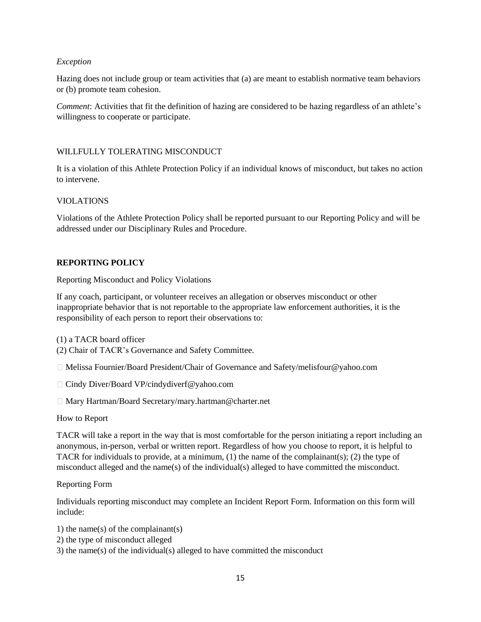#### *Exception*

Hazing does not include group or team activities that (a) are meant to establish normative team behaviors or (b) promote team cohesion.

*Comment*: Activities that fit the definition of hazing are considered to be hazing regardless of an athlete's willingness to cooperate or participate.

## WILLFULLY TOLERATING MISCONDUCT

It is a violation of this Athlete Protection Policy if an individual knows of misconduct, but takes no action to intervene.

#### VIOLATIONS

Violations of the Athlete Protection Policy shall be reported pursuant to our Reporting Policy and will be addressed under our Disciplinary Rules and Procedure.

#### **REPORTING POLICY**

Reporting Misconduct and Policy Violations

If any coach, participant, or volunteer receives an allegation or observes misconduct or other inappropriate behavior that is not reportable to the appropriate law enforcement authorities, it is the responsibility of each person to report their observations to:

(1) a TACR board officer

(2) Chair of TACR's Governance and Safety Committee.

Melissa Fournier/Board President/Chair of Governance and Safety/melisfour@yahoo.com

- □ Cindy Diver/Board VP/cindydiverf@yahoo.com
- Mary Hartman/Board Secretary/mary.hartman@charter.net

How to Report

TACR will take a report in the way that is most comfortable for the person initiating a report including an anonymous, in-person, verbal or written report. Regardless of how you choose to report, it is helpful to TACR for individuals to provide, at a minimum, (1) the name of the complainant(s); (2) the type of misconduct alleged and the name(s) of the individual(s) alleged to have committed the misconduct.

#### Reporting Form

Individuals reporting misconduct may complete an Incident Report Form. Information on this form will include:

- 1) the name(s) of the complainant(s)
- 2) the type of misconduct alleged
- 3) the name(s) of the individual(s) alleged to have committed the misconduct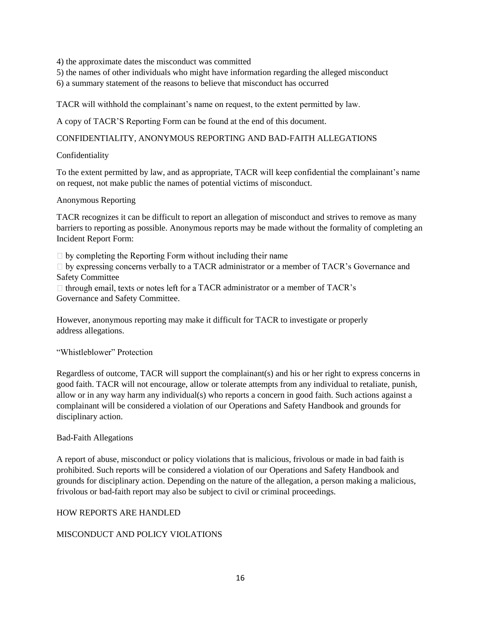4) the approximate dates the misconduct was committed

5) the names of other individuals who might have information regarding the alleged misconduct

6) a summary statement of the reasons to believe that misconduct has occurred

TACR will withhold the complainant's name on request, to the extent permitted by law.

A copy of TACR'S Reporting Form can be found at the end of this document.

#### CONFIDENTIALITY, ANONYMOUS REPORTING AND BAD-FAITH ALLEGATIONS

#### Confidentiality

To the extent permitted by law, and as appropriate, TACR will keep confidential the complainant's name on request, not make public the names of potential victims of misconduct.

#### Anonymous Reporting

TACR recognizes it can be difficult to report an allegation of misconduct and strives to remove as many barriers to reporting as possible. Anonymous reports may be made without the formality of completing an Incident Report Form:

 $\Box$  by completing the Reporting Form without including their name

 $\Box$  by expressing concerns verbally to a TACR administrator or a member of TACR's Governance and Safety Committee

 $\Box$  through email, texts or notes left for a TACR administrator or a member of TACR's Governance and Safety Committee.

However, anonymous reporting may make it difficult for TACR to investigate or properly address allegations.

#### "Whistleblower" Protection

Regardless of outcome, TACR will support the complainant(s) and his or her right to express concerns in good faith. TACR will not encourage, allow or tolerate attempts from any individual to retaliate, punish, allow or in any way harm any individual(s) who reports a concern in good faith. Such actions against a complainant will be considered a violation of our Operations and Safety Handbook and grounds for disciplinary action.

#### Bad-Faith Allegations

A report of abuse, misconduct or policy violations that is malicious, frivolous or made in bad faith is prohibited. Such reports will be considered a violation of our Operations and Safety Handbook and grounds for disciplinary action. Depending on the nature of the allegation, a person making a malicious, frivolous or bad-faith report may also be subject to civil or criminal proceedings.

#### HOW REPORTS ARE HANDLED

#### MISCONDUCT AND POLICY VIOLATIONS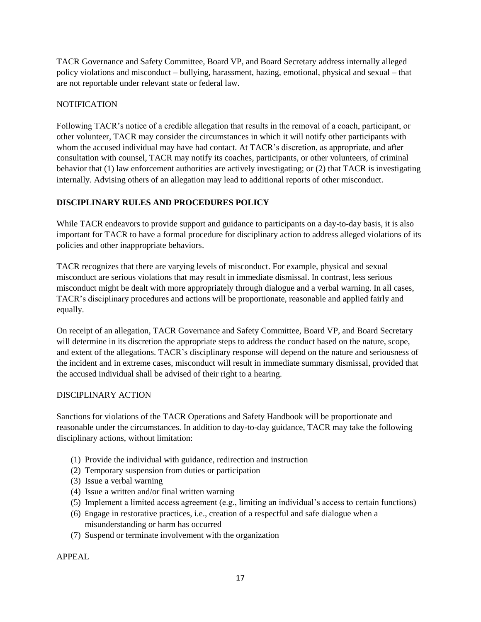TACR Governance and Safety Committee, Board VP, and Board Secretary address internally alleged policy violations and misconduct – bullying, harassment, hazing, emotional, physical and sexual – that are not reportable under relevant state or federal law.

## **NOTIFICATION**

Following TACR's notice of a credible allegation that results in the removal of a coach, participant, or other volunteer, TACR may consider the circumstances in which it will notify other participants with whom the accused individual may have had contact. At TACR's discretion, as appropriate, and after consultation with counsel, TACR may notify its coaches, participants, or other volunteers, of criminal behavior that (1) law enforcement authorities are actively investigating; or (2) that TACR is investigating internally. Advising others of an allegation may lead to additional reports of other misconduct.

## **DISCIPLINARY RULES AND PROCEDURES POLICY**

While TACR endeavors to provide support and guidance to participants on a day-to-day basis, it is also important for TACR to have a formal procedure for disciplinary action to address alleged violations of its policies and other inappropriate behaviors.

TACR recognizes that there are varying levels of misconduct. For example, physical and sexual misconduct are serious violations that may result in immediate dismissal. In contrast, less serious misconduct might be dealt with more appropriately through dialogue and a verbal warning. In all cases, TACR's disciplinary procedures and actions will be proportionate, reasonable and applied fairly and equally.

On receipt of an allegation, TACR Governance and Safety Committee, Board VP, and Board Secretary will determine in its discretion the appropriate steps to address the conduct based on the nature, scope, and extent of the allegations. TACR's disciplinary response will depend on the nature and seriousness of the incident and in extreme cases, misconduct will result in immediate summary dismissal, provided that the accused individual shall be advised of their right to a hearing.

## DISCIPLINARY ACTION

Sanctions for violations of the TACR Operations and Safety Handbook will be proportionate and reasonable under the circumstances. In addition to day-to-day guidance, TACR may take the following disciplinary actions, without limitation:

- (1) Provide the individual with guidance, redirection and instruction
- (2) Temporary suspension from duties or participation
- (3) Issue a verbal warning
- (4) Issue a written and/or final written warning
- (5) Implement a limited access agreement (e.g., limiting an individual's access to certain functions)
- (6) Engage in restorative practices, i.e., creation of a respectful and safe dialogue when a misunderstanding or harm has occurred
- (7) Suspend or terminate involvement with the organization

APPEAL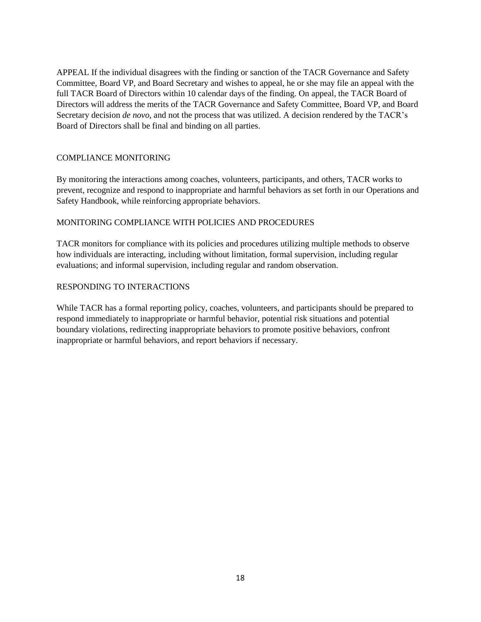APPEAL If the individual disagrees with the finding or sanction of the TACR Governance and Safety Committee, Board VP, and Board Secretary and wishes to appeal, he or she may file an appeal with the full TACR Board of Directors within 10 calendar days of the finding. On appeal, the TACR Board of Directors will address the merits of the TACR Governance and Safety Committee, Board VP, and Board Secretary decision *de novo*, and not the process that was utilized. A decision rendered by the TACR's Board of Directors shall be final and binding on all parties.

#### COMPLIANCE MONITORING

By monitoring the interactions among coaches, volunteers, participants, and others, TACR works to prevent, recognize and respond to inappropriate and harmful behaviors as set forth in our Operations and Safety Handbook, while reinforcing appropriate behaviors.

#### MONITORING COMPLIANCE WITH POLICIES AND PROCEDURES

TACR monitors for compliance with its policies and procedures utilizing multiple methods to observe how individuals are interacting, including without limitation, formal supervision, including regular evaluations; and informal supervision, including regular and random observation.

#### RESPONDING TO INTERACTIONS

While TACR has a formal reporting policy, coaches, volunteers, and participants should be prepared to respond immediately to inappropriate or harmful behavior, potential risk situations and potential boundary violations, redirecting inappropriate behaviors to promote positive behaviors, confront inappropriate or harmful behaviors, and report behaviors if necessary.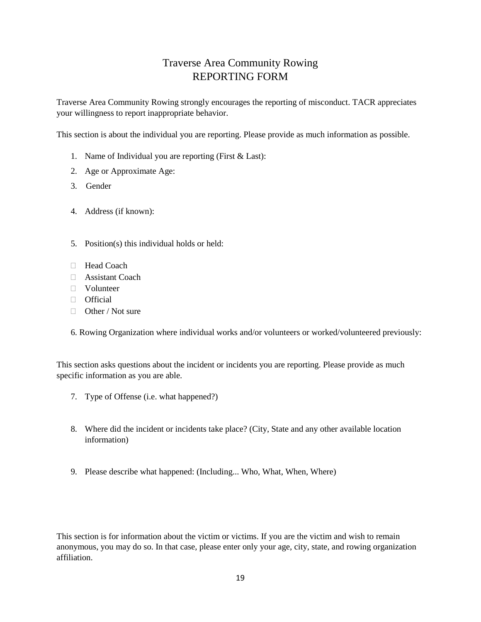## Traverse Area Community Rowing REPORTING FORM

Traverse Area Community Rowing strongly encourages the reporting of misconduct. TACR appreciates your willingness to report inappropriate behavior.

This section is about the individual you are reporting. Please provide as much information as possible.

- 1. Name of Individual you are reporting (First & Last):
- 2. Age or Approximate Age:
- 3. Gender
- 4. Address (if known):
- 5. Position(s) this individual holds or held:
- $\Box$  Head Coach
- Assistant Coach
- Volunteer
- Official
- $\Box$  Other / Not sure
- 6. Rowing Organization where individual works and/or volunteers or worked/volunteered previously:

This section asks questions about the incident or incidents you are reporting. Please provide as much specific information as you are able.

- 7. Type of Offense (i.e. what happened?)
- 8. Where did the incident or incidents take place? (City, State and any other available location information)
- 9. Please describe what happened: (Including... Who, What, When, Where)

This section is for information about the victim or victims. If you are the victim and wish to remain anonymous, you may do so. In that case, please enter only your age, city, state, and rowing organization affiliation.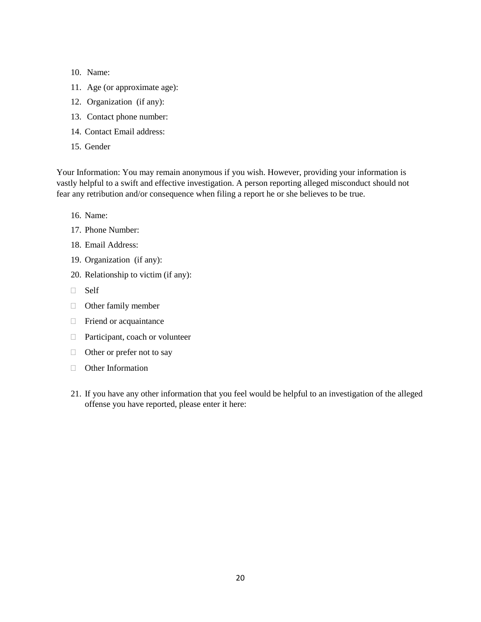- 10. Name:
- 11. Age (or approximate age):
- 12. Organization (if any):
- 13. Contact phone number:
- 14. Contact Email address:
- 15. Gender

Your Information: You may remain anonymous if you wish. However, providing your information is vastly helpful to a swift and effective investigation. A person reporting alleged misconduct should not fear any retribution and/or consequence when filing a report he or she believes to be true.

- 16. Name:
- 17. Phone Number:
- 18. Email Address:
- 19. Organization (if any):
- 20. Relationship to victim (if any):
- □ Self
- Other family member
- $\Box$  Friend or acquaintance
- □ Participant, coach or volunteer
- $\Box$  Other or prefer not to say
- **D** Other Information
- 21. If you have any other information that you feel would be helpful to an investigation of the alleged offense you have reported, please enter it here: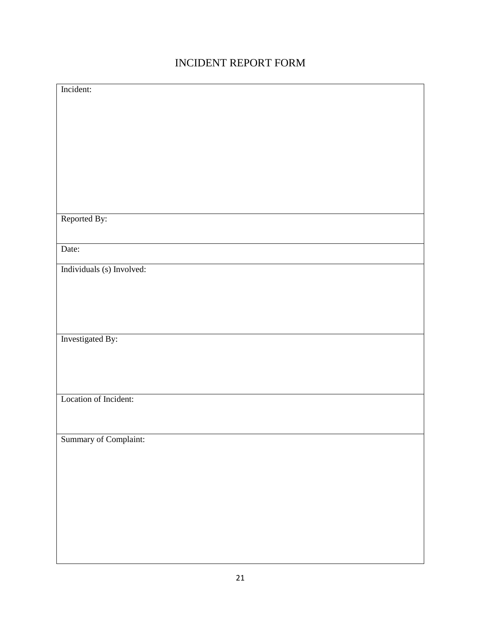# INCIDENT REPORT FORM

| Incident:                 |
|---------------------------|
|                           |
|                           |
|                           |
|                           |
|                           |
|                           |
|                           |
|                           |
| Reported By:              |
|                           |
| Date:                     |
| Individuals (s) Involved: |
|                           |
|                           |
|                           |
|                           |
| Investigated By:          |
|                           |
|                           |
|                           |
| Location of Incident:     |
|                           |
|                           |
| Summary of Complaint:     |
|                           |
|                           |
|                           |
|                           |
|                           |
|                           |
|                           |
|                           |